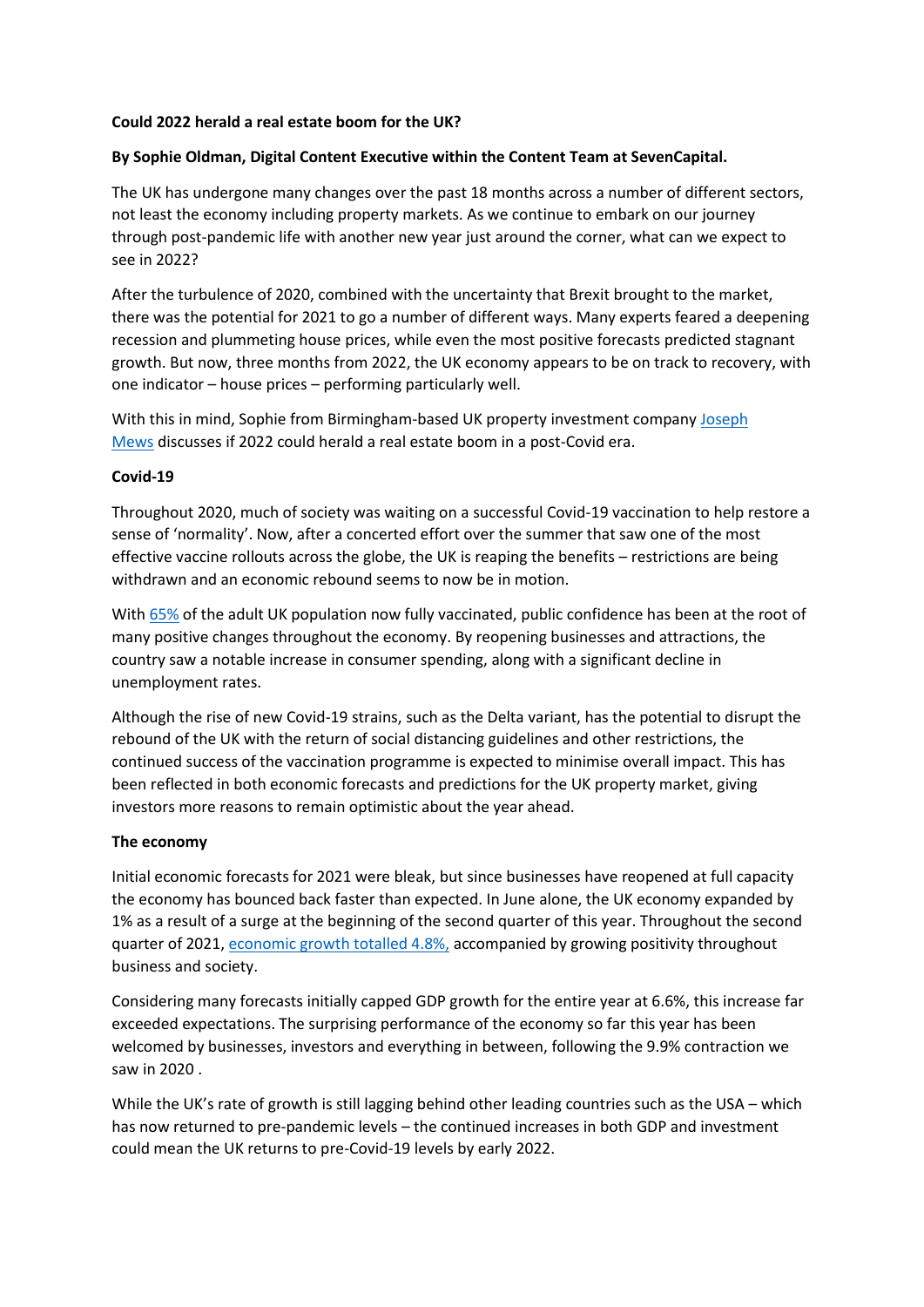#### **Could 2022 herald a real estate boom for the UK?**

# **By Sophie Oldman, Digital Content Executive within the Content Team at SevenCapital.**

The UK has undergone many changes over the past 18 months across a number of different sectors, not least the economy including property markets. As we continue to embark on our journey through post-pandemic life with another new year just around the corner, what can we expect to see in 2022?

After the turbulence of 2020, combined with the uncertainty that Brexit brought to the market, there was the potential for 2021 to go a number of different ways. Many experts feared a deepening recession and plummeting house prices, while even the most positive forecasts predicted stagnant growth. But now, three months from 2022, the UK economy appears to be on track to recovery, with one indicator – house prices – performing particularly well.

With this in mind, Sophie from Birmingham-based UK property investment company [Joseph](https://joseph-mews.com/?utm_medium=organic&utm_source=online%20feature&utm_campaign=ahead%20of%20the%20market%20&utm_content=bcu%20cbs%20backlink)  [Mews](https://joseph-mews.com/?utm_medium=organic&utm_source=online%20feature&utm_campaign=ahead%20of%20the%20market%20&utm_content=bcu%20cbs%20backlink) discusses if 2022 could herald a real estate boom in a post-Covid era.

## **Covid-19**

Throughout 2020, much of society was waiting on a successful Covid-19 vaccination to help restore a sense of 'normality'. Now, after a concerted effort over the summer that saw one of the most effective vaccine rollouts across the globe, the UK is reaping the benefits – restrictions are being withdrawn and an economic rebound seems to now be in motion.

With [65%](https://inews.co.uk/news/world/covid-vaccine-europe-eu-jab-roll-out-countries-leaving-uk-behind-portugal-1207393) of the adult UK population now fully vaccinated, public confidence has been at the root of many positive changes throughout the economy. By reopening businesses and attractions, the country saw a notable increase in consumer spending, along with a significant decline in unemployment rates.

Although the rise of new Covid-19 strains, such as the Delta variant, has the potential to disrupt the rebound of the UK with the return of social distancing guidelines and other restrictions, the continued success of the vaccination programme is expected to minimise overall impact. This has been reflected in both economic forecasts and predictions for the UK property market, giving investors more reasons to remain optimistic about the year ahead.

#### **The economy**

Initial economic forecasts for 2021 were bleak, but since businesses have reopened at full capacity the economy has bounced back faster than expected. In June alone, the UK economy expanded by 1% as a result of a surge at the beginning of the second quarter of this year. Throughout the second quarter of 2021, [economic growth totalled 4.8%,](https://www.ft.com/content/875fe197-587b-4b27-aee6-65b15a780ef5) accompanied by growing positivity throughout business and society.

Considering many forecasts initially capped GDP growth for the entire year at 6.6%, this increase far exceeded expectations. The surprising performance of the economy so far this year has been welcomed by businesses, investors and everything in between, following the 9.9% contraction we saw in 2020 .

While the UK's rate of growth is still lagging behind other leading countries such as the USA – which has now returned to pre-pandemic levels – the continued increases in both GDP and investment could mean the UK returns to pre-Covid-19 levels by early 2022.